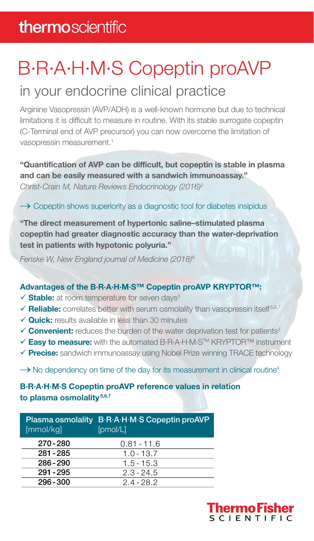### thermoscientific

# B·R·A·H·M·S Copeptin proAVP

### in your endocrine clinical practice

Arginine Vasopressin (AVP/ADH) is a well-known hormone but due to technical limitations it is difficult to measure in routine. With its stable surrogate copeptin (C-Terminal end of AVP precursor) you can now overcome the limitation of vasopressin measurement.<sup>1</sup>

#### **"Quantification of AVP can be difficult, but copeptin is stable in plasma and can be easily measured with a sandwich immunoassay."**

*Christ-Crain M, Nature Reviews Endocrinology (2016)2*

#### $\rightarrow$  Copeptin shows superiority as a diagnostic tool for diabetes insipidus

**"The direct measurement of hypertonic saline–stimulated plasma copeptin had greater diagnostic accuracy than the water-deprivation test in patients with hypotonic polyuria."**

*Fenske W, New England journal of Medicine (2018)8*

#### **Advantages of the B·R·A·H·M·S™ Copeptin proAVP KRYPTOR™:**

- **✓ Stable:** at room temperature for seven days<sup>3</sup>
- $\checkmark$  **Reliable:** correlates better with serum osmolality than vasopressin itself<sup>5,6,7</sup>
- **√ Quick:** results available in less than 30 minutes
- $\checkmark$  **Convenient:** reduces the burden of the water deprivation test for patients<sup>2</sup>
- **Easy to measure:** with the automated B·R·A·H·M·STM KRYPTOR™ instrument
- **Precise:** sandwich immunoassay using Nobel Prize winning TRACE technology

 $\rightarrow$  No dependency on time of the day for its measurement in clinical routine<sup>4</sup>

#### **B·R·A·H·M·S Copeptin proAVP reference values in relation to plasma osmolality 5,6,7**

| [mmol/kq]   | Plasma osmolality B.R.A.H.M.S Copeptin proAVP<br>[pmol/L] |
|-------------|-----------------------------------------------------------|
| 270-280     | $0.81 - 11.6$                                             |
| 281 - 285   | $1.0 - 13.7$                                              |
| $286 - 290$ | $1.5 - 15.3$                                              |
| 291 - 295   | $2.3 - 24.5$                                              |
| $296 - 300$ | $2.4 - 28.2$                                              |